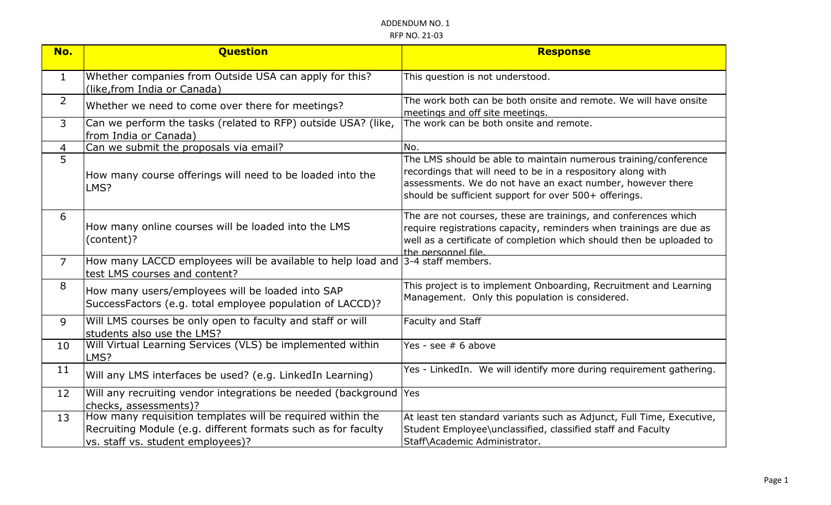| No.            | <b>Question</b>                                                                                                                                                  | <b>Response</b>                                                                                                                                                                                                                                       |
|----------------|------------------------------------------------------------------------------------------------------------------------------------------------------------------|-------------------------------------------------------------------------------------------------------------------------------------------------------------------------------------------------------------------------------------------------------|
| $\mathbf{1}$   | Whether companies from Outside USA can apply for this?<br>(like, from India or Canada)                                                                           | This question is not understood.                                                                                                                                                                                                                      |
| $\overline{2}$ | Whether we need to come over there for meetings?                                                                                                                 | The work both can be both onsite and remote. We will have onsite<br>meetings and off site meetings.                                                                                                                                                   |
| $\mathsf{3}$   | Can we perform the tasks (related to RFP) outside USA? (like,<br>from India or Canada)                                                                           | The work can be both onsite and remote.                                                                                                                                                                                                               |
| 4              | Can we submit the proposals via email?                                                                                                                           | No.                                                                                                                                                                                                                                                   |
| $\overline{5}$ | How many course offerings will need to be loaded into the<br>LMS?                                                                                                | The LMS should be able to maintain numerous training/conference<br>recordings that will need to be in a respository along with<br>assessments. We do not have an exact number, however there<br>should be sufficient support for over 500+ offerings. |
| 6              | How many online courses will be loaded into the LMS<br>(content)?                                                                                                | The are not courses, these are trainings, and conferences which<br>require registrations capacity, reminders when trainings are due as<br>well as a certificate of completion which should then be uploaded to<br>the personnel file.                 |
| $\overline{7}$ | How many LACCD employees will be available to help load and 3-4 staff members.<br>test LMS courses and content?                                                  |                                                                                                                                                                                                                                                       |
| 8              | How many users/employees will be loaded into SAP<br>SuccessFactors (e.g. total employee population of LACCD)?                                                    | This project is to implement Onboarding, Recruitment and Learning<br>Management. Only this population is considered.                                                                                                                                  |
| 9              | Will LMS courses be only open to faculty and staff or will<br>students also use the LMS?                                                                         | Faculty and Staff                                                                                                                                                                                                                                     |
| 10             | Will Virtual Learning Services (VLS) be implemented within<br>LMS?                                                                                               | Yes - see $# 6$ above                                                                                                                                                                                                                                 |
| 11             | Will any LMS interfaces be used? (e.g. LinkedIn Learning)                                                                                                        | Yes - LinkedIn. We will identify more during requirement gathering.                                                                                                                                                                                   |
| 12             | Will any recruiting vendor integrations be needed (background<br>checks, assessments)?                                                                           | Yes                                                                                                                                                                                                                                                   |
| 13             | How many requisition templates will be required within the<br>Recruiting Module (e.g. different formats such as for faculty<br>vs. staff vs. student employees)? | At least ten standard variants such as Adjunct, Full Time, Executive,<br>Student Employee\unclassified, classified staff and Faculty<br>Staff\Academic Administrator.                                                                                 |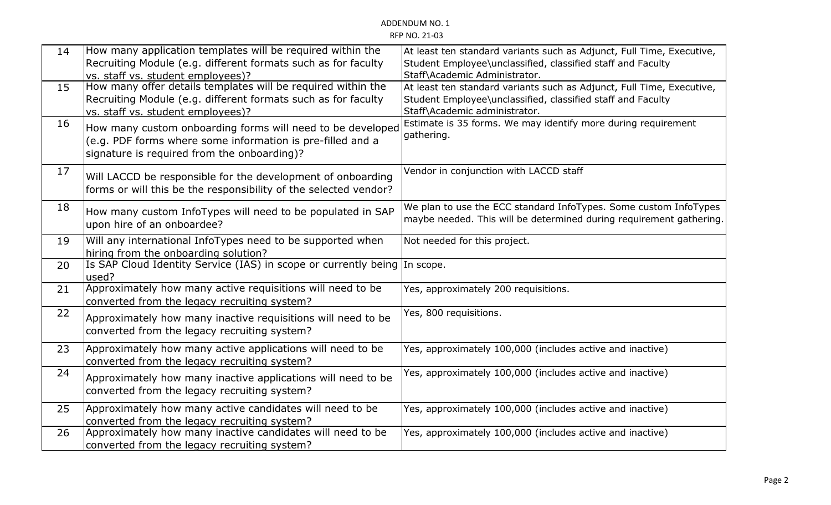| 14 | How many application templates will be required within the<br>Recruiting Module (e.g. different formats such as for faculty                                             | At least ten standard variants such as Adjunct, Full Time, Executive,<br>Student Employee\unclassified, classified staff and Faculty                                  |
|----|-------------------------------------------------------------------------------------------------------------------------------------------------------------------------|-----------------------------------------------------------------------------------------------------------------------------------------------------------------------|
|    | vs. staff vs. student employees)?                                                                                                                                       | Staff\Academic Administrator.                                                                                                                                         |
| 15 | How many offer details templates will be required within the<br>Recruiting Module (e.g. different formats such as for faculty<br>vs. staff vs. student employees)?      | At least ten standard variants such as Adjunct, Full Time, Executive,<br>Student Employee\unclassified, classified staff and Faculty<br>Staff\Academic administrator. |
| 16 | How many custom onboarding forms will need to be developed<br>(e.g. PDF forms where some information is pre-filled and a<br>signature is required from the onboarding)? | Estimate is 35 forms. We may identify more during requirement<br>gathering.                                                                                           |
| 17 | Will LACCD be responsible for the development of onboarding<br>forms or will this be the responsibility of the selected vendor?                                         | Vendor in conjunction with LACCD staff                                                                                                                                |
| 18 | How many custom InfoTypes will need to be populated in SAP<br>upon hire of an onboardee?                                                                                | We plan to use the ECC standard InfoTypes. Some custom InfoTypes<br>maybe needed. This will be determined during requirement gathering.                               |
| 19 | Will any international InfoTypes need to be supported when<br>hiring from the onboarding solution?                                                                      | Not needed for this project.                                                                                                                                          |
| 20 | Is SAP Cloud Identity Service (IAS) in scope or currently being In scope.<br>lused?                                                                                     |                                                                                                                                                                       |
| 21 | Approximately how many active requisitions will need to be<br>converted from the legacy recruiting system?                                                              | Yes, approximately 200 requisitions.                                                                                                                                  |
| 22 | Approximately how many inactive requisitions will need to be<br>converted from the legacy recruiting system?                                                            | Yes, 800 requisitions.                                                                                                                                                |
| 23 | Approximately how many active applications will need to be<br>converted from the legacy recruiting system?                                                              | Yes, approximately 100,000 (includes active and inactive)                                                                                                             |
| 24 | Approximately how many inactive applications will need to be<br>converted from the legacy recruiting system?                                                            | Yes, approximately 100,000 (includes active and inactive)                                                                                                             |
| 25 | Approximately how many active candidates will need to be<br>converted from the legacy recruiting system?                                                                | Yes, approximately 100,000 (includes active and inactive)                                                                                                             |
| 26 | Approximately how many inactive candidates will need to be<br>converted from the legacy recruiting system?                                                              | Yes, approximately 100,000 (includes active and inactive)                                                                                                             |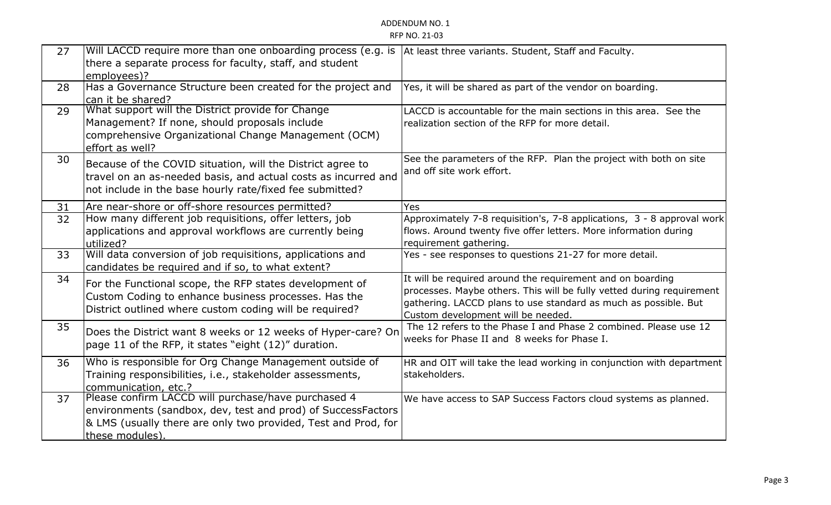| 27 | Will LACCD require more than one onboarding process (e.g. is  At least three variants. Student, Staff and Faculty.<br>there a separate process for faculty, staff, and student<br>employees)?            |                                                                                                                                                                                                                                              |
|----|----------------------------------------------------------------------------------------------------------------------------------------------------------------------------------------------------------|----------------------------------------------------------------------------------------------------------------------------------------------------------------------------------------------------------------------------------------------|
| 28 | Has a Governance Structure been created for the project and<br>can it be shared?                                                                                                                         | Yes, it will be shared as part of the vendor on boarding.                                                                                                                                                                                    |
| 29 | What support will the District provide for Change<br>Management? If none, should proposals include<br>comprehensive Organizational Change Management (OCM)<br>effort as well?                            | LACCD is accountable for the main sections in this area. See the<br>realization section of the RFP for more detail.                                                                                                                          |
| 30 | Because of the COVID situation, will the District agree to<br>travel on an as-needed basis, and actual costs as incurred and<br>not include in the base hourly rate/fixed fee submitted?                 | See the parameters of the RFP. Plan the project with both on site<br>and off site work effort.                                                                                                                                               |
| 31 | Are near-shore or off-shore resources permitted?                                                                                                                                                         | Yes                                                                                                                                                                                                                                          |
| 32 | How many different job requisitions, offer letters, job<br>applications and approval workflows are currently being<br>utilized?                                                                          | Approximately 7-8 requisition's, 7-8 applications, 3 - 8 approval work<br>flows. Around twenty five offer letters. More information during<br>requirement gathering.                                                                         |
| 33 | Will data conversion of job requisitions, applications and<br>candidates be required and if so, to what extent?                                                                                          | Yes - see responses to questions 21-27 for more detail.                                                                                                                                                                                      |
| 34 | For the Functional scope, the RFP states development of<br>Custom Coding to enhance business processes. Has the<br>District outlined where custom coding will be required?                               | It will be required around the requirement and on boarding<br>processes. Maybe others. This will be fully vetted during requirement<br>gathering. LACCD plans to use standard as much as possible. But<br>Custom development will be needed. |
| 35 | Does the District want 8 weeks or 12 weeks of Hyper-care? On<br>page 11 of the RFP, it states "eight (12)" duration.                                                                                     | The 12 refers to the Phase I and Phase 2 combined. Please use 12<br>weeks for Phase II and 8 weeks for Phase I.                                                                                                                              |
| 36 | Who is responsible for Org Change Management outside of<br>Training responsibilities, i.e., stakeholder assessments,<br>communication, etc.?                                                             | HR and OIT will take the lead working in conjunction with department<br>stakeholders.                                                                                                                                                        |
| 37 | Please confirm LACCD will purchase/have purchased 4<br>environments (sandbox, dev, test and prod) of SuccessFactors<br>& LMS (usually there are only two provided, Test and Prod, for<br>these modules). | We have access to SAP Success Factors cloud systems as planned.                                                                                                                                                                              |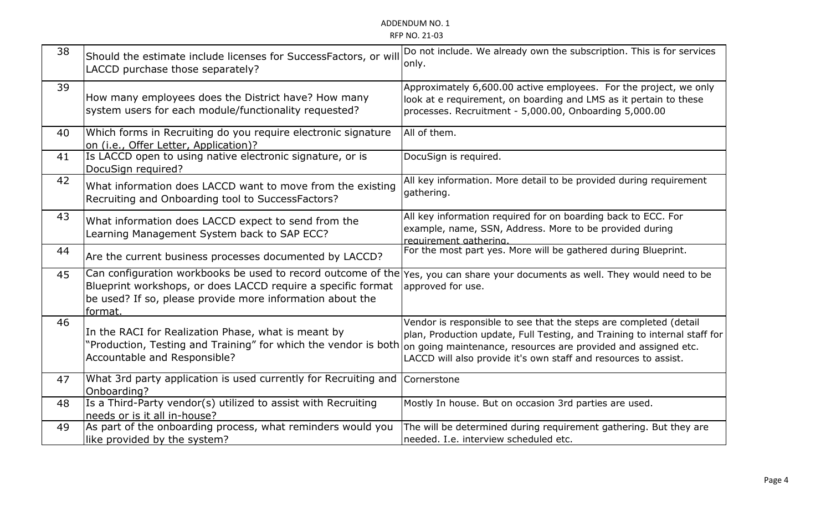| 38 | Should the estimate include licenses for SuccessFactors, or will<br>LACCD purchase those separately?                                                                                                                                                                  | Do not include. We already own the subscription. This is for services<br>only.                                                                                                                                    |
|----|-----------------------------------------------------------------------------------------------------------------------------------------------------------------------------------------------------------------------------------------------------------------------|-------------------------------------------------------------------------------------------------------------------------------------------------------------------------------------------------------------------|
| 39 | How many employees does the District have? How many<br>system users for each module/functionality requested?                                                                                                                                                          | Approximately 6,600.00 active employees. For the project, we only<br>look at e requirement, on boarding and LMS as it pertain to these<br>processes. Recruitment - 5,000.00, Onboarding 5,000.00                  |
| 40 | Which forms in Recruiting do you require electronic signature<br>on (i.e., Offer Letter, Application)?                                                                                                                                                                | All of them.                                                                                                                                                                                                      |
| 41 | Is LACCD open to using native electronic signature, or is<br>DocuSign required?                                                                                                                                                                                       | DocuSign is required.                                                                                                                                                                                             |
| 42 | What information does LACCD want to move from the existing<br>Recruiting and Onboarding tool to SuccessFactors?                                                                                                                                                       | All key information. More detail to be provided during requirement<br>gathering.                                                                                                                                  |
| 43 | What information does LACCD expect to send from the<br>Learning Management System back to SAP ECC?                                                                                                                                                                    | All key information required for on boarding back to ECC. For<br>example, name, SSN, Address. More to be provided during<br>requirement gathering                                                                 |
| 44 | Are the current business processes documented by LACCD?                                                                                                                                                                                                               | For the most part yes. More will be gathered during Blueprint.                                                                                                                                                    |
| 45 | Can configuration workbooks be used to record outcome of the Yes, you can share your documents as well. They would need to be<br>Blueprint workshops, or does LACCD require a specific format<br>be used? If so, please provide more information about the<br>format. | approved for use.                                                                                                                                                                                                 |
| 46 | In the RACI for Realization Phase, what is meant by<br>'Production, Testing and Training" for which the vendor is both on going maintenance, resources are provided and assigned etc.<br>Accountable and Responsible?                                                 | Vendor is responsible to see that the steps are completed (detail<br>plan, Production update, Full Testing, and Training to internal staff for<br>LACCD will also provide it's own staff and resources to assist. |
| 47 | What 3rd party application is used currently for Recruiting and<br>Onboarding?                                                                                                                                                                                        | Cornerstone                                                                                                                                                                                                       |
| 48 | Is a Third-Party vendor(s) utilized to assist with Recruiting<br>needs or is it all in-house?                                                                                                                                                                         | Mostly In house. But on occasion 3rd parties are used.                                                                                                                                                            |
| 49 | As part of the onboarding process, what reminders would you<br>like provided by the system?                                                                                                                                                                           | The will be determined during requirement gathering. But they are<br>needed. I.e. interview scheduled etc.                                                                                                        |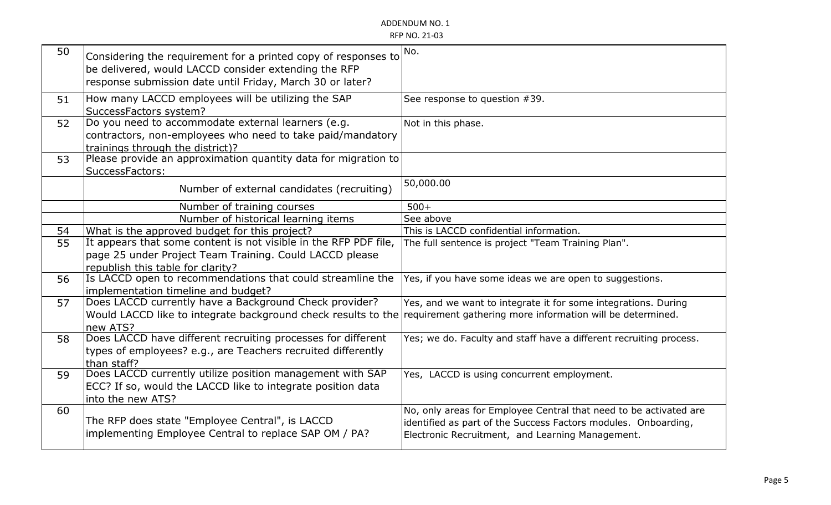| 50 | Considering the requirement for a printed copy of responses to   | No.                                                                |
|----|------------------------------------------------------------------|--------------------------------------------------------------------|
|    | be delivered, would LACCD consider extending the RFP             |                                                                    |
|    | response submission date until Friday, March 30 or later?        |                                                                    |
|    |                                                                  |                                                                    |
| 51 | How many LACCD employees will be utilizing the SAP               | See response to question #39.                                      |
|    | SuccessFactors system?                                           |                                                                    |
| 52 | Do you need to accommodate external learners (e.g.               | Not in this phase.                                                 |
|    | contractors, non-employees who need to take paid/mandatory       |                                                                    |
|    | trainings through the district)?                                 |                                                                    |
| 53 | Please provide an approximation quantity data for migration to   |                                                                    |
|    | SuccessFactors:                                                  |                                                                    |
|    |                                                                  | 50,000.00                                                          |
|    | Number of external candidates (recruiting)                       |                                                                    |
|    | Number of training courses                                       | $500+$                                                             |
|    | Number of historical learning items                              | See above                                                          |
| 54 | What is the approved budget for this project?                    | This is LACCD confidential information.                            |
| 55 | It appears that some content is not visible in the RFP PDF file, | The full sentence is project "Team Training Plan".                 |
|    | page 25 under Project Team Training. Could LACCD please          |                                                                    |
|    | republish this table for clarity?                                |                                                                    |
| 56 | Is LACCD open to recommendations that could streamline the       | Yes, if you have some ideas we are open to suggestions.            |
|    | implementation timeline and budget?                              |                                                                    |
| 57 | Does LACCD currently have a Background Check provider?           | Yes, and we want to integrate it for some integrations. During     |
|    | Would LACCD like to integrate background check results to the    | requirement gathering more information will be determined.         |
|    | new ATS?                                                         |                                                                    |
| 58 | Does LACCD have different recruiting processes for different     | Yes; we do. Faculty and staff have a different recruiting process. |
|    | types of employees? e.g., are Teachers recruited differently     |                                                                    |
|    | than staff?                                                      |                                                                    |
| 59 | Does LACCD currently utilize position management with SAP        | Yes, LACCD is using concurrent employment.                         |
|    | ECC? If so, would the LACCD like to integrate position data      |                                                                    |
|    | into the new ATS?                                                |                                                                    |
| 60 |                                                                  | No, only areas for Employee Central that need to be activated are  |
|    | The RFP does state "Employee Central", is LACCD                  | identified as part of the Success Factors modules. Onboarding,     |
|    | implementing Employee Central to replace SAP OM / PA?            | Electronic Recruitment, and Learning Management.                   |
|    |                                                                  |                                                                    |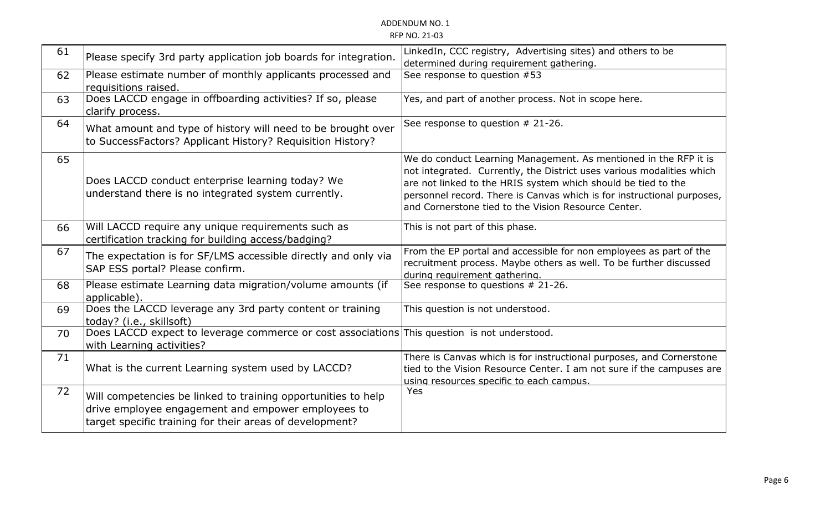| 61 | Please specify 3rd party application job boards for integration.                                                                                                                | LinkedIn, CCC registry, Advertising sites) and others to be<br>determined during requirement gathering.                                                                                                                                                                                                                                     |
|----|---------------------------------------------------------------------------------------------------------------------------------------------------------------------------------|---------------------------------------------------------------------------------------------------------------------------------------------------------------------------------------------------------------------------------------------------------------------------------------------------------------------------------------------|
| 62 | Please estimate number of monthly applicants processed and<br>requisitions raised.                                                                                              | See response to question #53                                                                                                                                                                                                                                                                                                                |
| 63 | Does LACCD engage in offboarding activities? If so, please<br>clarify process.                                                                                                  | Yes, and part of another process. Not in scope here.                                                                                                                                                                                                                                                                                        |
| 64 | What amount and type of history will need to be brought over<br>to SuccessFactors? Applicant History? Requisition History?                                                      | See response to question # 21-26.                                                                                                                                                                                                                                                                                                           |
| 65 | Does LACCD conduct enterprise learning today? We<br>understand there is no integrated system currently.                                                                         | We do conduct Learning Management. As mentioned in the RFP it is<br>not integrated. Currently, the District uses various modalities which<br>are not linked to the HRIS system which should be tied to the<br>personnel record. There is Canvas which is for instructional purposes,<br>and Cornerstone tied to the Vision Resource Center. |
| 66 | Will LACCD require any unique requirements such as<br>certification tracking for building access/badging?                                                                       | This is not part of this phase.                                                                                                                                                                                                                                                                                                             |
| 67 | The expectation is for SF/LMS accessible directly and only via<br>SAP ESS portal? Please confirm.                                                                               | From the EP portal and accessible for non employees as part of the<br>recruitment process. Maybe others as well. To be further discussed<br>during requirement gathering.                                                                                                                                                                   |
| 68 | Please estimate Learning data migration/volume amounts (if<br>applicable).                                                                                                      | See response to questions # 21-26.                                                                                                                                                                                                                                                                                                          |
| 69 | Does the LACCD leverage any 3rd party content or training<br>today? (i.e., skillsoft)                                                                                           | This question is not understood.                                                                                                                                                                                                                                                                                                            |
| 70 | Does LACCD expect to leverage commerce or cost associations This question is not understood.<br>with Learning activities?                                                       |                                                                                                                                                                                                                                                                                                                                             |
| 71 | What is the current Learning system used by LACCD?                                                                                                                              | There is Canvas which is for instructional purposes, and Cornerstone<br>tied to the Vision Resource Center. I am not sure if the campuses are<br>using resources specific to each campus.                                                                                                                                                   |
| 72 | Will competencies be linked to training opportunities to help<br>drive employee engagement and empower employees to<br>target specific training for their areas of development? | Yes                                                                                                                                                                                                                                                                                                                                         |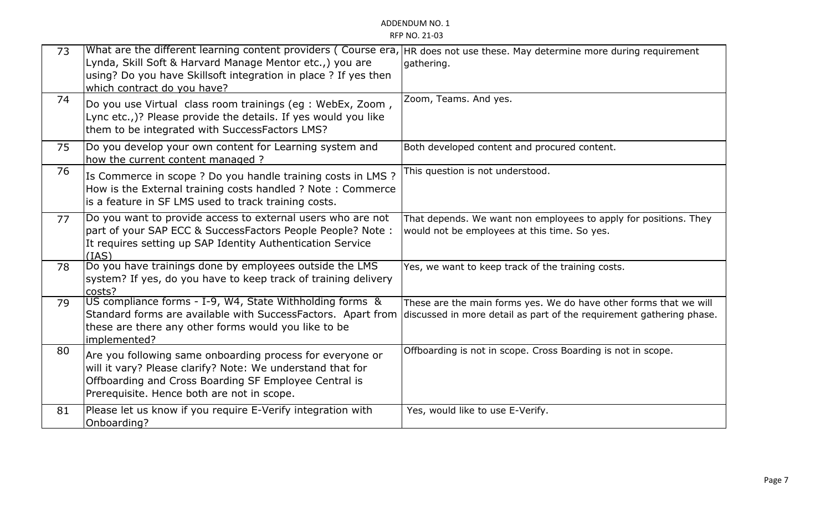| 73 | What are the different learning content providers (Course era, HR does not use these. May determine more during requirement<br>Lynda, Skill Soft & Harvard Manage Mentor etc.,) you are<br>using? Do you have Skillsoft integration in place ? If yes then<br>which contract do you have? | gathering.                                                                                                                                |
|----|-------------------------------------------------------------------------------------------------------------------------------------------------------------------------------------------------------------------------------------------------------------------------------------------|-------------------------------------------------------------------------------------------------------------------------------------------|
| 74 | Do you use Virtual class room trainings (eg : WebEx, Zoom,<br>Lync etc.,)? Please provide the details. If yes would you like<br>them to be integrated with SuccessFactors LMS?                                                                                                            | Zoom, Teams. And yes.                                                                                                                     |
| 75 | Do you develop your own content for Learning system and<br>how the current content managed ?                                                                                                                                                                                              | Both developed content and procured content.                                                                                              |
| 76 | Is Commerce in scope ? Do you handle training costs in LMS ?<br>How is the External training costs handled ? Note: Commerce<br>is a feature in SF LMS used to track training costs.                                                                                                       | This question is not understood.                                                                                                          |
| 77 | Do you want to provide access to external users who are not<br>part of your SAP ECC & SuccessFactors People People? Note:<br>It requires setting up SAP Identity Authentication Service<br>(IAS)                                                                                          | That depends. We want non employees to apply for positions. They<br>would not be employees at this time. So yes.                          |
| 78 | Do you have trainings done by employees outside the LMS<br>system? If yes, do you have to keep track of training delivery<br>costs?                                                                                                                                                       | Yes, we want to keep track of the training costs.                                                                                         |
| 79 | US compliance forms - I-9, W4, State Withholding forms &<br>Standard forms are available with SuccessFactors. Apart from<br>these are there any other forms would you like to be<br>implemented?                                                                                          | These are the main forms yes. We do have other forms that we will<br>discussed in more detail as part of the requirement gathering phase. |
| 80 | Are you following same onboarding process for everyone or<br>will it vary? Please clarify? Note: We understand that for<br>Offboarding and Cross Boarding SF Employee Central is<br>Prerequisite. Hence both are not in scope.                                                            | Offboarding is not in scope. Cross Boarding is not in scope.                                                                              |
| 81 | Please let us know if you require E-Verify integration with<br>Onboarding?                                                                                                                                                                                                                | Yes, would like to use E-Verify.                                                                                                          |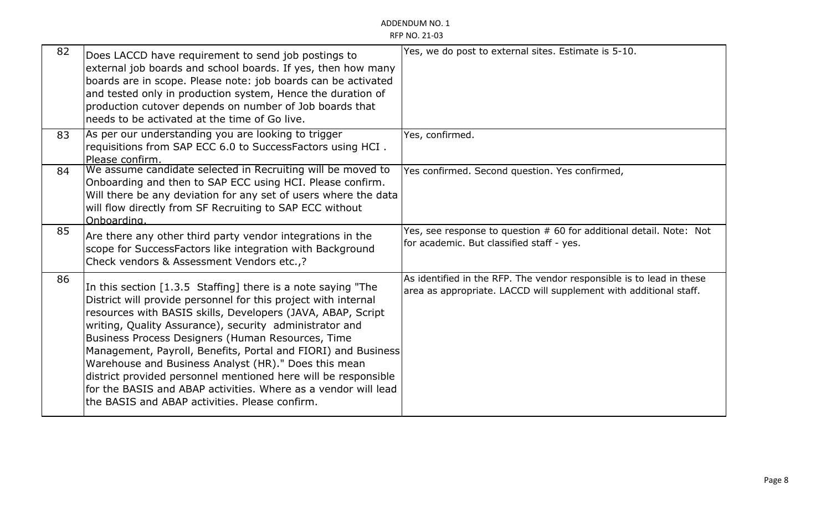# ADDENDUM NO. 1

| <b>RFP NO. 21-03</b> |  |  |  |
|----------------------|--|--|--|
|----------------------|--|--|--|

| 82 | Does LACCD have requirement to send job postings to<br>external job boards and school boards. If yes, then how many<br>boards are in scope. Please note: job boards can be activated<br>and tested only in production system, Hence the duration of<br>production cutover depends on number of Job boards that<br>needs to be activated at the time of Go live.                                                                                                                                                                                                                                                              | Yes, we do post to external sites. Estimate is 5-10.                                                                                      |
|----|------------------------------------------------------------------------------------------------------------------------------------------------------------------------------------------------------------------------------------------------------------------------------------------------------------------------------------------------------------------------------------------------------------------------------------------------------------------------------------------------------------------------------------------------------------------------------------------------------------------------------|-------------------------------------------------------------------------------------------------------------------------------------------|
| 83 | As per our understanding you are looking to trigger<br>requisitions from SAP ECC 6.0 to SuccessFactors using HCI.<br>Please confirm.                                                                                                                                                                                                                                                                                                                                                                                                                                                                                         | Yes, confirmed.                                                                                                                           |
| 84 | We assume candidate selected in Recruiting will be moved to<br>Onboarding and then to SAP ECC using HCI. Please confirm.<br>Will there be any deviation for any set of users where the data<br>will flow directly from SF Recruiting to SAP ECC without<br>Onboarding.                                                                                                                                                                                                                                                                                                                                                       | Yes confirmed. Second question. Yes confirmed,                                                                                            |
| 85 | Are there any other third party vendor integrations in the<br>scope for SuccessFactors like integration with Background<br>Check vendors & Assessment Vendors etc.,?                                                                                                                                                                                                                                                                                                                                                                                                                                                         | Yes, see response to question # 60 for additional detail. Note: Not<br>for academic. But classified staff - yes.                          |
| 86 | In this section [1.3.5 Staffing] there is a note saying "The<br>District will provide personnel for this project with internal<br>resources with BASIS skills, Developers (JAVA, ABAP, Script<br>writing, Quality Assurance), security administrator and<br>Business Process Designers (Human Resources, Time<br>Management, Payroll, Benefits, Portal and FIORI) and Business<br>Warehouse and Business Analyst (HR)." Does this mean<br>district provided personnel mentioned here will be responsible<br>for the BASIS and ABAP activities. Where as a vendor will lead<br>the BASIS and ABAP activities. Please confirm. | As identified in the RFP. The vendor responsible is to lead in these<br>area as appropriate. LACCD will supplement with additional staff. |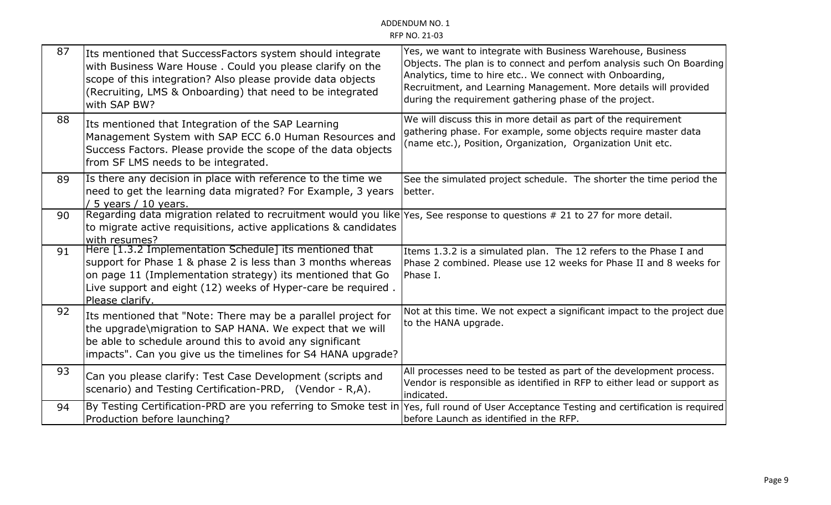| 87 | Its mentioned that SuccessFactors system should integrate<br>with Business Ware House. Could you please clarify on the<br>scope of this integration? Also please provide data objects<br>(Recruiting, LMS & Onboarding) that need to be integrated<br>with SAP BW?      | Yes, we want to integrate with Business Warehouse, Business<br>Objects. The plan is to connect and perfom analysis such On Boarding<br>Analytics, time to hire etc We connect with Onboarding,<br>Recruitment, and Learning Management. More details will provided<br>during the requirement gathering phase of the project. |
|----|-------------------------------------------------------------------------------------------------------------------------------------------------------------------------------------------------------------------------------------------------------------------------|------------------------------------------------------------------------------------------------------------------------------------------------------------------------------------------------------------------------------------------------------------------------------------------------------------------------------|
| 88 | Its mentioned that Integration of the SAP Learning<br>Management System with SAP ECC 6.0 Human Resources and<br>Success Factors. Please provide the scope of the data objects<br>from SF LMS needs to be integrated.                                                    | We will discuss this in more detail as part of the requirement<br>gathering phase. For example, some objects require master data<br>(name etc.), Position, Organization, Organization Unit etc.                                                                                                                              |
| 89 | Is there any decision in place with reference to the time we<br>need to get the learning data migrated? For Example, 3 years<br>/ 5 years / 10 years.                                                                                                                   | See the simulated project schedule. The shorter the time period the<br>better.                                                                                                                                                                                                                                               |
| 90 | Regarding data migration related to recruitment would you like Yes, See response to questions # 21 to 27 for more detail.<br>to migrate active requisitions, active applications & candidates<br>with resumes?                                                          |                                                                                                                                                                                                                                                                                                                              |
| 91 | Here [1.3.2 Implementation Schedule] its mentioned that<br>support for Phase 1 & phase 2 is less than 3 months whereas<br>on page 11 (Implementation strategy) its mentioned that Go<br>Live support and eight (12) weeks of Hyper-care be required.<br>Please clarify. | Items 1.3.2 is a simulated plan. The 12 refers to the Phase I and<br>Phase 2 combined. Please use 12 weeks for Phase II and 8 weeks for<br>Phase I.                                                                                                                                                                          |
| 92 | Its mentioned that "Note: There may be a parallel project for<br>the upgrade\migration to SAP HANA. We expect that we will<br>be able to schedule around this to avoid any significant<br>impacts". Can you give us the timelines for S4 HANA upgrade?                  | Not at this time. We not expect a significant impact to the project due<br>to the HANA upgrade.                                                                                                                                                                                                                              |
| 93 | Can you please clarify: Test Case Development (scripts and<br>scenario) and Testing Certification-PRD, (Vendor - R,A).                                                                                                                                                  | All processes need to be tested as part of the development process.<br>Vendor is responsible as identified in RFP to either lead or support as<br>indicated.                                                                                                                                                                 |
| 94 | By Testing Certification-PRD are you referring to Smoke test in<br>Production before launching?                                                                                                                                                                         | Yes, full round of User Acceptance Testing and certification is required<br>before Launch as identified in the RFP.                                                                                                                                                                                                          |